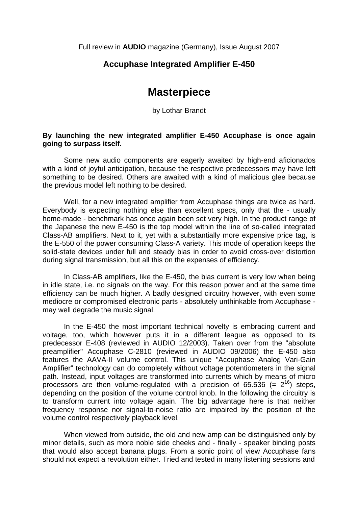Full review in **AUDIO** magazine (Germany), Issue August 2007

## **Accuphase Integrated Amplifier E-450**

## **Masterpiece**

by Lothar Brandt

## **By launching the new integrated amplifier E-450 Accuphase is once again going to surpass itself.**

 Some new audio components are eagerly awaited by high-end aficionados with a kind of joyful anticipation, because the respective predecessors may have left something to be desired. Others are awaited with a kind of malicious glee because the previous model left nothing to be desired.

 Well, for a new integrated amplifier from Accuphase things are twice as hard. Everybody is expecting nothing else than excellent specs, only that the - usually home-made - benchmark has once again been set very high. In the product range of the Japanese the new E-450 is the top model within the line of so-called integrated Class-AB amplifiers. Next to it, yet with a substantially more expensive price tag, is the E-550 of the power consuming Class-A variety. This mode of operation keeps the solid-state devices under full and steady bias in order to avoid cross-over distortion during signal transmission, but all this on the expenses of efficiency.

 In Class-AB amplifiers, like the E-450, the bias current is very low when being in idle state, i.e. no signals on the way. For this reason power and at the same time efficiency can be much higher. A badly designed circuitry however, with even some mediocre or compromised electronic parts - absolutely unthinkable from Accuphase may well degrade the music signal.

 In the E-450 the most important technical novelty is embracing current and voltage, too, which however puts it in a different league as opposed to its predecessor E-408 (reviewed in AUDIO 12/2003). Taken over from the "absolute preamplifier" Accuphase C-2810 (reviewed in AUDIO 09/2006) the E-450 also features the AAVA-II volume control. This unique "Accuphase Analog Vari-Gain Amplifier" technology can do completely without voltage potentiometers in the signal path. Instead, input voltages are transformed into currents which by means of micro processors are then volume-regulated with a precision of 65.536 (=  $2^{16}$ ) steps, depending on the position of the volume control knob. In the following the circuitry is to transform current into voltage again. The big advantage here is that neither frequency response nor signal-to-noise ratio are impaired by the position of the volume control respectively playback level.

 When viewed from outside, the old and new amp can be distinguished only by minor details, such as more noble side cheeks and - finally - speaker binding posts that would also accept banana plugs. From a sonic point of view Accuphase fans should not expect a revolution either. Tried and tested in many listening sessions and